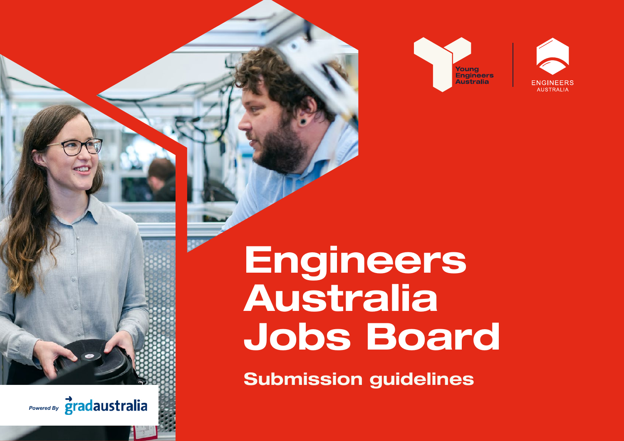



# Engineers Australia Jobs Board

Submission guidelines

*Powered By* **gradaustralia**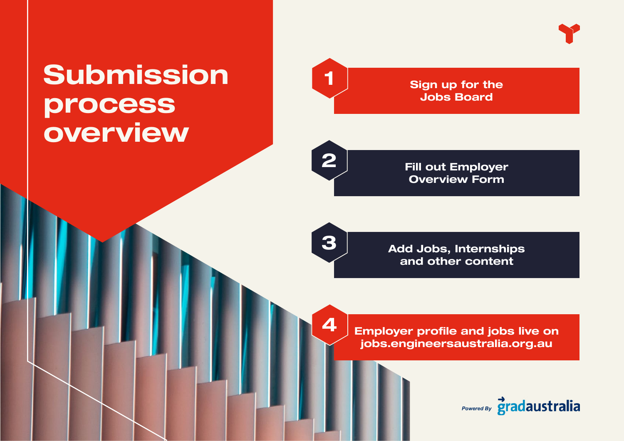# Submission process overview

Sign up for the

Fill out Employer Overview Form

1

2

3

 $\boldsymbol{\varLambda}$ 

Add Jobs, Internships and other content

Jobs Board

Employer profile and jobs live on jobs.engineersaustralia.org.au

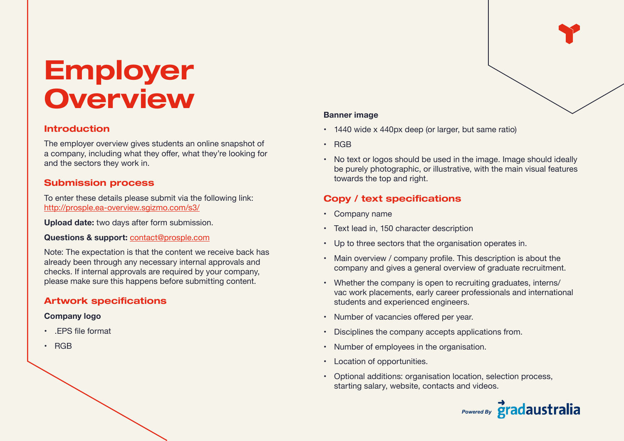# Employer **Overview**

### Introduction

The employer overview gives students an online snapshot of a company, including what they offer, what they're looking for and the sectors they work in.

#### Submission process

To enter these details please submit via the following link: <http://prosple.ea-overview.sgizmo.com/s3/>

**Upload date:** two days after form submission.

#### **Questions & support:** [contact@prosple.com](mailto:contact%40prosple.com?subject=)

Note: The expectation is that the content we receive back has already been through any necessary internal approvals and checks. If internal approvals are required by your company, please make sure this happens before submitting content.

## Artwork specifications

#### **Company logo**

- .EPS file format
- RGB

#### **Banner image**

- 1440 wide x 440px deep (or larger, but same ratio)
- RGB
- No text or logos should be used in the image. Image should ideally be purely photographic, or illustrative, with the main visual features towards the top and right.

# Copy / text specifications

- Company name
- Text lead in, 150 character description
- Up to three sectors that the organisation operates in.
- Main overview / company profile. This description is about the company and gives a general overview of graduate recruitment.
- Whether the company is open to recruiting graduates, interns/ vac work placements, early career professionals and international students and experienced engineers.
- Number of vacancies offered per year.
- Disciplines the company accepts applications from.
- Number of employees in the organisation.
- Location of opportunities.
- Optional additions: organisation location, selection process, starting salary, website, contacts and videos.